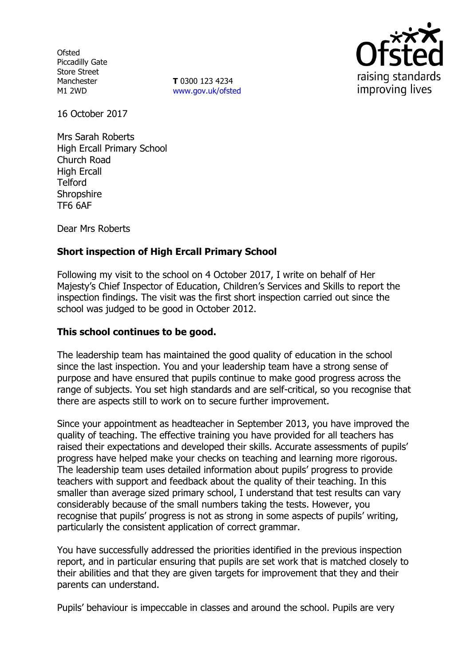**Ofsted** Piccadilly Gate Store Street Manchester M1 2WD

**T** 0300 123 4234 www.gov.uk/ofsted



16 October 2017

Mrs Sarah Roberts High Ercall Primary School Church Road High Ercall Telford **Shropshire** TF6 6AF

Dear Mrs Roberts

# **Short inspection of High Ercall Primary School**

Following my visit to the school on 4 October 2017, I write on behalf of Her Majesty's Chief Inspector of Education, Children's Services and Skills to report the inspection findings. The visit was the first short inspection carried out since the school was judged to be good in October 2012.

## **This school continues to be good.**

The leadership team has maintained the good quality of education in the school since the last inspection. You and your leadership team have a strong sense of purpose and have ensured that pupils continue to make good progress across the range of subjects. You set high standards and are self-critical, so you recognise that there are aspects still to work on to secure further improvement.

Since your appointment as headteacher in September 2013, you have improved the quality of teaching. The effective training you have provided for all teachers has raised their expectations and developed their skills. Accurate assessments of pupils' progress have helped make your checks on teaching and learning more rigorous. The leadership team uses detailed information about pupils' progress to provide teachers with support and feedback about the quality of their teaching. In this smaller than average sized primary school, I understand that test results can vary considerably because of the small numbers taking the tests. However, you recognise that pupils' progress is not as strong in some aspects of pupils' writing, particularly the consistent application of correct grammar.

You have successfully addressed the priorities identified in the previous inspection report, and in particular ensuring that pupils are set work that is matched closely to their abilities and that they are given targets for improvement that they and their parents can understand.

Pupils' behaviour is impeccable in classes and around the school. Pupils are very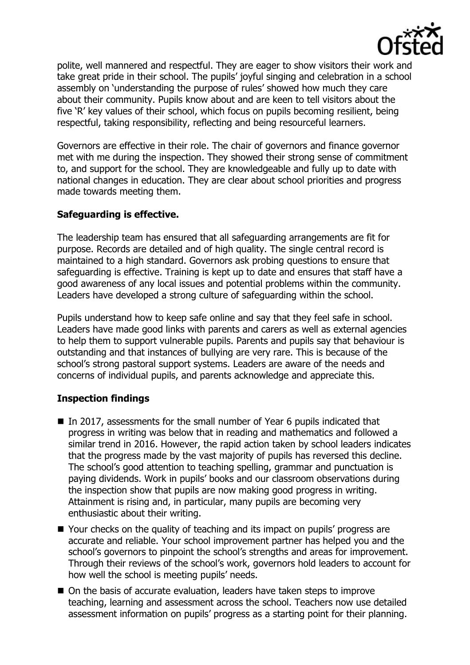

polite, well mannered and respectful. They are eager to show visitors their work and take great pride in their school. The pupils' joyful singing and celebration in a school assembly on 'understanding the purpose of rules' showed how much they care about their community. Pupils know about and are keen to tell visitors about the five 'R' key values of their school, which focus on pupils becoming resilient, being respectful, taking responsibility, reflecting and being resourceful learners.

Governors are effective in their role. The chair of governors and finance governor met with me during the inspection. They showed their strong sense of commitment to, and support for the school. They are knowledgeable and fully up to date with national changes in education. They are clear about school priorities and progress made towards meeting them.

# **Safeguarding is effective.**

The leadership team has ensured that all safeguarding arrangements are fit for purpose. Records are detailed and of high quality. The single central record is maintained to a high standard. Governors ask probing questions to ensure that safeguarding is effective. Training is kept up to date and ensures that staff have a good awareness of any local issues and potential problems within the community. Leaders have developed a strong culture of safeguarding within the school.

Pupils understand how to keep safe online and say that they feel safe in school. Leaders have made good links with parents and carers as well as external agencies to help them to support vulnerable pupils. Parents and pupils say that behaviour is outstanding and that instances of bullying are very rare. This is because of the school's strong pastoral support systems. Leaders are aware of the needs and concerns of individual pupils, and parents acknowledge and appreciate this.

## **Inspection findings**

- In 2017, assessments for the small number of Year 6 pupils indicated that progress in writing was below that in reading and mathematics and followed a similar trend in 2016. However, the rapid action taken by school leaders indicates that the progress made by the vast majority of pupils has reversed this decline. The school's good attention to teaching spelling, grammar and punctuation is paying dividends. Work in pupils' books and our classroom observations during the inspection show that pupils are now making good progress in writing. Attainment is rising and, in particular, many pupils are becoming very enthusiastic about their writing.
- Your checks on the quality of teaching and its impact on pupils' progress are accurate and reliable. Your school improvement partner has helped you and the school's governors to pinpoint the school's strengths and areas for improvement. Through their reviews of the school's work, governors hold leaders to account for how well the school is meeting pupils' needs.
- On the basis of accurate evaluation, leaders have taken steps to improve teaching, learning and assessment across the school. Teachers now use detailed assessment information on pupils' progress as a starting point for their planning.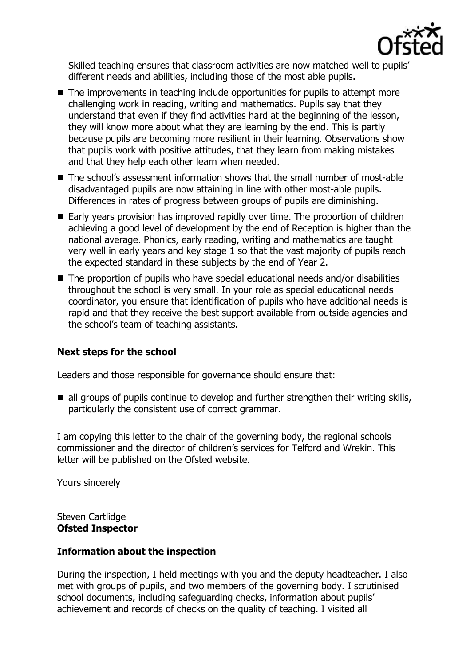

Skilled teaching ensures that classroom activities are now matched well to pupils' different needs and abilities, including those of the most able pupils.

- $\blacksquare$  The improvements in teaching include opportunities for pupils to attempt more challenging work in reading, writing and mathematics. Pupils say that they understand that even if they find activities hard at the beginning of the lesson, they will know more about what they are learning by the end. This is partly because pupils are becoming more resilient in their learning. Observations show that pupils work with positive attitudes, that they learn from making mistakes and that they help each other learn when needed.
- The school's assessment information shows that the small number of most-able disadvantaged pupils are now attaining in line with other most-able pupils. Differences in rates of progress between groups of pupils are diminishing.
- Early years provision has improved rapidly over time. The proportion of children achieving a good level of development by the end of Reception is higher than the national average. Phonics, early reading, writing and mathematics are taught very well in early years and key stage 1 so that the vast majority of pupils reach the expected standard in these subjects by the end of Year 2.
- The proportion of pupils who have special educational needs and/or disabilities throughout the school is very small. In your role as special educational needs coordinator, you ensure that identification of pupils who have additional needs is rapid and that they receive the best support available from outside agencies and the school's team of teaching assistants.

# **Next steps for the school**

Leaders and those responsible for governance should ensure that:

 $\blacksquare$  all groups of pupils continue to develop and further strengthen their writing skills, particularly the consistent use of correct grammar.

I am copying this letter to the chair of the governing body, the regional schools commissioner and the director of children's services for Telford and Wrekin. This letter will be published on the Ofsted website.

Yours sincerely

Steven Cartlidge **Ofsted Inspector**

## **Information about the inspection**

During the inspection, I held meetings with you and the deputy headteacher. I also met with groups of pupils, and two members of the governing body. I scrutinised school documents, including safeguarding checks, information about pupils' achievement and records of checks on the quality of teaching. I visited all